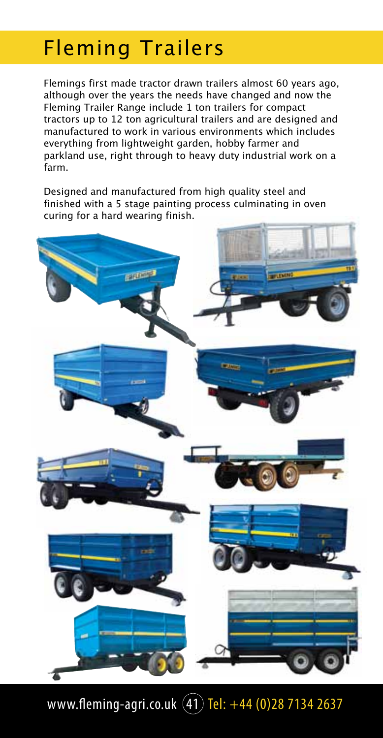### Fleming Trailers

Flemings first made tractor drawn trailers almost 60 years ago, although over the years the needs have changed and now the Fleming Trailer Range include 1 ton trailers for compact tractors up to 12 ton agricultural trailers and are designed and manufactured to work in various environments which includes everything from lightweight garden, hobby farmer and parkland use, right through to heavy duty industrial work on a farm.

Designed and manufactured from high quality steel and finished with a 5 stage painting process culminating in oven curing for a hard wearing finish.



www.fleming-agri.co.uk  $(41)$  Tel:  $+44$  (0)28 7134 2637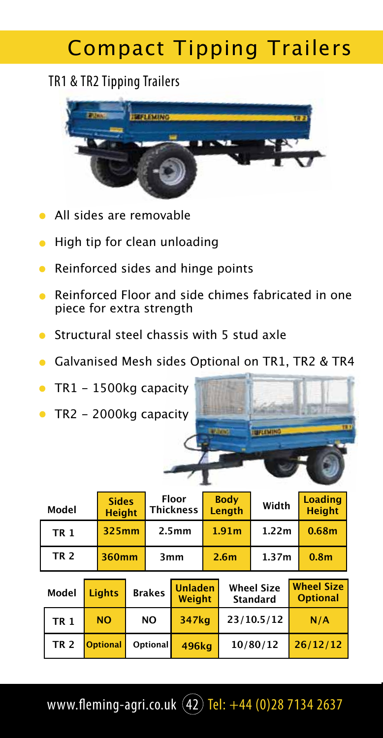## Compact Tipping Trailers

### TR1 & TR2 Tipping Trailers



- All sides are removable
- High tip for clean unloading  $\bullet$
- Reinforced sides and hinge points  $\bullet$
- Reinforced Floor and side chimes fabricated in one  $\bullet$ piece for extra strength
- Structural steel chassis with 5 stud axle  $\bullet$
- Galvanised Mesh sides Optional on TR1, TR2 & TR4
- TR1 1500kg capacity  $\bullet$
- TR2 2000kg capacity

| Model       | <b>Sides</b><br><b>Height</b> | Floor<br><b>Thickness</b> | <b>Body</b><br>Length | Width             | <b>Loading</b><br><b>Height</b> |
|-------------|-------------------------------|---------------------------|-----------------------|-------------------|---------------------------------|
| <b>TR1</b>  | 325mm                         | 2.5 <sub>mm</sub>         | 1.91 <sub>m</sub>     | 1.22 <sub>m</sub> | 0.68 <sub>m</sub>               |
| <b>TR 2</b> | 360mm                         | 3 <sub>mm</sub>           | 2.6 <sub>m</sub>      | 1.37 <sub>m</sub> | 0.8 <sub>m</sub>                |

| Model       | <b>Lights</b>   | <b>Brakes</b> | <b>Unladen</b><br><b>Weight</b> | <b>Wheel Size</b><br><b>Standard</b> | <b>Wheel Size</b><br><b>Optional</b> |
|-------------|-----------------|---------------|---------------------------------|--------------------------------------|--------------------------------------|
| <b>TR1</b>  | <b>NO</b>       | <b>NO</b>     | 347kg                           | 23/10.5/12                           | N/A                                  |
| <b>TR 2</b> | <b>Optional</b> | Optional      | 496ka                           | 10/80/12                             | 26/12/12                             |

www.fleming-agri.co.uk  $\left( 42\right)$  Tel: +44 (0)28 7134 2637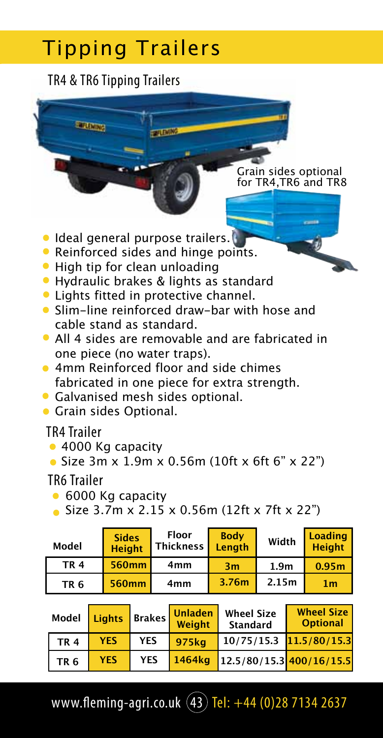### TR4 & TR6 Tipping Trailers

**BELLING** 

Grain sides optional for TR4,TR6 and TR8

- **Ideal general purpose trailers.**
- Reinforced sides and hinge points.
- High tip for clean unloading
- Hydraulic brakes & lights as standard
- **C** Lights fitted in protective channel.
- Slim-line reinforced draw-bar with hose and cable stand as standard.
- All 4 sides are removable and are fabricated in one piece (no water traps).
- **4mm Reinforced floor and side chimes** fabricated in one piece for extra strength.
- Galvanised mesh sides optional.
- **Grain sides Optional.**

TR4 Trailer

- 4000 Kg capacity
- Size 3m x 1.9m x 0.56m (10ft x 6ft 6" x 22")

TR6 Trailer

- 6000 Kg capacity
- Size 3.7m x 2.15 x 0.56m (12ft x 7ft x 22")

| Model      | <b>Sides</b><br><b>Height</b> | <b>Floor</b><br>Thickness | <b>Body</b><br>Lenath | Width            | <b>Loading</b><br><b>Height</b> |
|------------|-------------------------------|---------------------------|-----------------------|------------------|---------------------------------|
| <b>TR4</b> | 560mm                         | 4mm                       | 3m                    | 1.9 <sub>m</sub> | 0.95 <sub>m</sub>               |
| <b>TR6</b> | 560mm                         | 4mm                       | 3.76m                 | 2.15m            | 1 <sub>m</sub>                  |

| Model      | <b>Lights</b> |            | Brakes Unladen<br><b>Weight</b> | <b>Wheel Size</b><br><b>Standard</b> | <b>Wheel Size</b><br><b>Optional</b> |
|------------|---------------|------------|---------------------------------|--------------------------------------|--------------------------------------|
| <b>TR4</b> | <b>YES</b>    | <b>YES</b> | 975kg                           | $10/75/15.3$ $11.5/80/15.3$          |                                      |
| <b>TR6</b> | <b>YFS</b>    | <b>YES</b> | 1464kg                          | $12.5/80/15.3$ 400/16/15.5           |                                      |

www.fleming-agri.co.uk  $(43)$  Tel:  $+44$  (0)28 7134 2637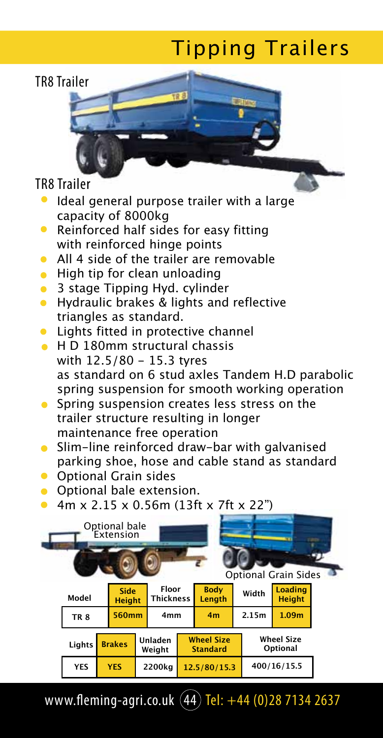### TR8 Trailer

#### TR8 Trailer

- Ideal general purpose trailer with a large  $\bullet$ capacity of 8000kg
- Reinforced half sides for easy fitting  $\bullet$ with reinforced hinge points
- All 4 side of the trailer are removable
- $\bullet$  High tip for clean unloading
- 3 stage Tipping Hyd. cylinder
- **•** Hydraulic brakes & lights and reflective triangles as standard.
- **•** Lights fitted in protective channel
- **H D 180mm structural chassis** with 12.5/80 - 15.3 tyres as standard on 6 stud axles Tandem H.D parabolic spring suspension for smooth working operation
- **Spring suspension creates less stress on the** trailer structure resulting in longer maintenance free operation
- Slim-line reinforced draw-bar with galvanised parking shoe, hose and cable stand as standard
- **•** Optional Grain sides
- **•** Optional bale extension.
- 4m x 2.15 x 0.56m (13ft x 7ft x 22")



www.fleming-agri.co.uk  $(44)$  Tel:  $+44$  (0)28 7134 2637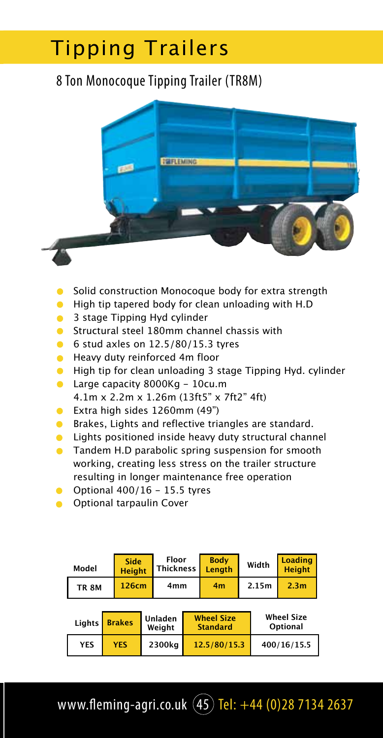### 8 Ton Monocoque Tipping Trailer (TR8M)



- Solid construction Monocoque body for extra strength
- $\bullet$ High tip tapered body for clean unloading with H.D
- $\bullet$ 3 stage Tipping Hyd cylinder
- Structural steel 180mm channel chassis with  $\bullet$
- 6 stud axles on  $12.5/80/15.3$  tyres
- Heavy duty reinforced 4m floor  $\bullet$
- High tip for clean unloading 3 stage Tipping Hyd. cylinder  $\bullet$
- **Large capacity 8000Kg 10cu.m** 4.1m x 2.2m x 1.26m (13ft5" x 7ft2" 4ft)
- Extra high sides 1260mm (49")
- **Brakes, Lights and reflective triangles are standard.**
- Lights positioned inside heavy duty structural channel  $\bullet$
- **Tandem H.D parabolic spring suspension for smooth** working, creating less stress on the trailer structure resulting in longer maintenance free operation
- Optional  $400/16 15.5$  tyres
- **Optional tarpaulin Cover**

| Model        | <b>Side</b><br><b>Height</b> | Floor<br>Thickness | <b>Body</b><br>Lenath | Width | Loading<br><b>Height</b> |
|--------------|------------------------------|--------------------|-----------------------|-------|--------------------------|
| <b>TR 8M</b> | 126cm                        | 4mm                | 4 <sub>m</sub>        | 2.15m | 2.3 <sub>m</sub>         |

|            | Lights <b>Brakes</b> | Unladen<br>Weight | <b>Wheel Size</b><br><b>Standard</b> | <b>Wheel Size</b><br>Optional |
|------------|----------------------|-------------------|--------------------------------------|-------------------------------|
| <b>YES</b> | <b>YES</b>           | 2300kg            | 12.5/80/15.3                         | 400/16/15.5                   |

www.fleming-agri.co.uk  $(45)$  Tel:  $+44$  (0)28 7134 2637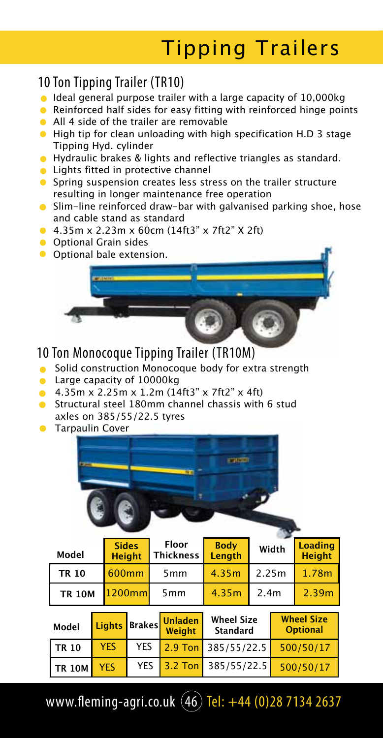### 10 Ton Tipping Trailer (TR10)

- $\bullet$  Ideal general purpose trailer with a large capacity of 10,000kg
- Reinforced half sides for easy fitting with reinforced hinge points
- All 4 side of the trailer are removable
- High tip for clean unloading with high specification H.D 3 stage Tipping Hyd. cylinder
- **•** Hydraulic brakes & lights and reflective triangles as standard.
- **C** Lights fitted in protective channel
- **•** Spring suspension creates less stress on the trailer structure resulting in longer maintenance free operation
- Slim-line reinforced draw-bar with galvanised parking shoe, hose and cable stand as standard
- 4.35m x 2.23m x 60cm (14ft3" x 7ft2" X 2ft)
- **Optional Grain sides**
- **O** Optional bale extension.

#### 10 Ton Monocoque Tipping Trailer (TR10M)

- **Solid construction Monocoque body for extra strength**
- **Large capacity of 10000kg**
- 4.35m x 2.25m x 1.2m (14ft3" x 7ft2" x 4ft)
- **Structural steel 180mm channel chassis with 6 stud** axles on 385/55/22.5 tyres
- **Tarpaulin Cover**

| Model         | <b>Sides</b><br><b>Height</b> | <b>Floor</b><br><b>Thickness</b> | <b>Body</b><br>Length | Width            | <b>Loading</b><br><b>Height</b> |  |
|---------------|-------------------------------|----------------------------------|-----------------------|------------------|---------------------------------|--|
| <b>TR 10</b>  | 600mm                         | 5 <sub>mm</sub>                  | 4.35m                 | 2.25m            | 1.78m                           |  |
| <b>TR 10M</b> | 1200mm                        | 5 <sub>mm</sub>                  | 4.35m                 | 2.4 <sub>m</sub> | 2.39m                           |  |

| Model             |            |            | l Lights Brakes Unladen<br>Weight | <b>Wheel Size</b><br><b>Standard</b> | <b>Wheel Size</b><br><b>Optional</b> |
|-------------------|------------|------------|-----------------------------------|--------------------------------------|--------------------------------------|
| $TR$ 10           | <b>YES</b> | <b>YES</b> |                                   | $2.9$ Ton 385/55/22.5                | 500/50/17                            |
| TR <sub>10M</sub> | <b>YFS</b> | <b>YES</b> |                                   | $3.2$ Ton 385/55/22.5                | 500/50/17                            |

www.fleming-agri.co.uk (46) Tel: +44 (0)28 7134 2637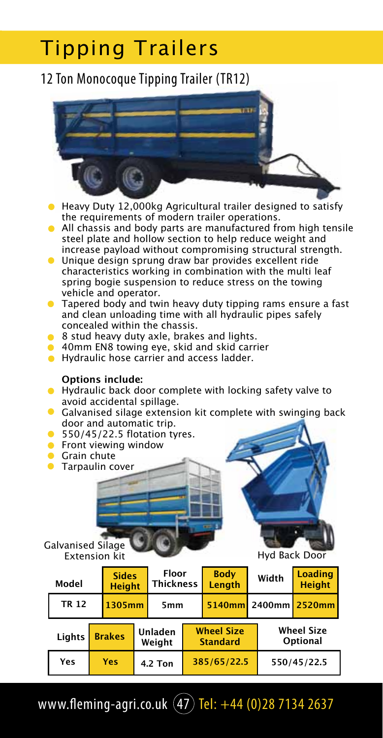### 12 Ton Monocoque Tipping Trailer (TR12)



- **Heavy Duty 12,000kg Agricultural trailer designed to satisfy** the requirements of modern trailer operations.
- All chassis and body parts are manufactured from high tensile steel plate and hollow section to help reduce weight and increase payload without compromising structural strength.
- Unique design sprung draw bar provides excellent ride characteristics working in combination with the multi leaf spring bogie suspension to reduce stress on the towing vehicle and operator.
- **•** Tapered body and twin heavy duty tipping rams ensure a fast and clean unloading time with all hydraulic pipes safely concealed within the chassis.
- 8 stud heavy duty axle, brakes and lights.
- 40mm EN8 towing eye, skid and skid carrier
- **•** Hydraulic hose carrier and access ladder.

#### **Options include:**

- **•** Hydraulic back door complete with locking safety valve to avoid accidental spillage.
- **Galvanised silage extension kit complete with swinging back** door and automatic trip.
- $\bullet$  550/45/22.5 flotation tyres.
- **•** Front viewing window
- **Grain chute**
- **Tarpaulin cover**

#### Galvanised Silage Extension kit Hyd Back Door

| Model        |               |        | <b>Sides</b><br><b>Height</b> |                 | <b>Floor</b><br><b>Thickness</b>     |               | Width                         | <b>Loading</b><br><b>Height</b> |
|--------------|---------------|--------|-------------------------------|-----------------|--------------------------------------|---------------|-------------------------------|---------------------------------|
| <b>TR 12</b> |               | 1305mm |                               | 5 <sub>mm</sub> |                                      | 5140mm 2400mm |                               | 2520mm                          |
| Lights       | <b>Brakes</b> |        | Unladen<br>Weight             |                 | <b>Wheel Size</b><br><b>Standard</b> |               | <b>Wheel Size</b><br>Optional |                                 |
| Yes          |               | Yes    |                               | <b>4.2 Ton</b>  |                                      | 385/65/22.5   |                               | 550/45/22.5                     |

www.fleming-agri.co.uk  $(47)$  Tel:  $+44$  (0)28 7134 2637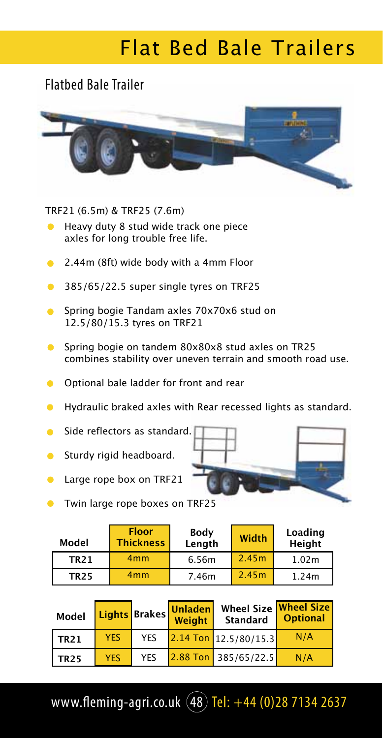# Flat Bed Bale Trailers

### Flatbed Bale Trailer



TRF21 (6.5m) & TRF25 (7.6m)

- Heavy duty 8 stud wide track one piece axles for long trouble free life.
- 2.44m (8ft) wide body with a 4mm Floor  $\bullet$
- $\bullet$ 385/65/22.5 super single tyres on TRF25
- Spring bogie Tandam axles 70x70x6 stud on  $\bullet$ 12.5/80/15.3 tyres on TRF21
- Spring bogie on tandem 80x80x8 stud axles on TR25 combines stability over uneven terrain and smooth road use.
- Optional bale ladder for front and rear  $\bullet$
- $\bullet$ Hydraulic braked axles with Rear recessed lights as standard.
- $\blacksquare$ Side reflectors as standard.
- Sturdy rigid headboard.  $\bullet$
- $\bullet$ Large rope box on TRF21



| Model       | <b>Floor</b><br><b>Thickness</b> | Body<br>Length |       | Loading<br><b>Height</b> |
|-------------|----------------------------------|----------------|-------|--------------------------|
| <b>TR21</b> | 4 <sub>mm</sub>                  | 6.56m          | 2.45m | 1.02m                    |
| <b>TR25</b> | 4 <sub>mm</sub>                  | 7.46m          | 2.45m | 1.24m                    |

| <b>Model</b>     |            | Lights Brakes | Unladenl<br>Weight | Wheel Size Wheel Size<br><b>Standard</b> | <b>Optional</b> |
|------------------|------------|---------------|--------------------|------------------------------------------|-----------------|
| TR <sub>21</sub> | <b>YES</b> | <b>YES</b>    |                    | $2.14$ Ton 12.5/80/15.3                  | N/A             |
| <b>TR25</b>      | <b>YES</b> | <b>YES</b>    |                    | 2.88 Ton 385/65/22.5                     | N/A             |

www.fleming-agri.co.uk  $(48)$  Tel:  $+44$  (0)28 7134 2637